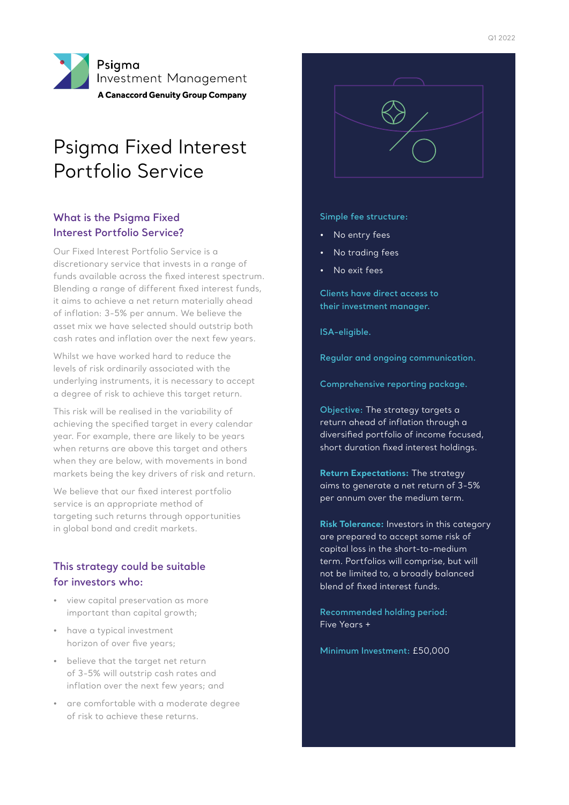

# Psigma Fixed Interest Portfolio Service

#### **What is the Psigma Fixed Interest Portfolio Service?**

Our Fixed Interest Portfolio Service is a discretionary service that invests in a range of funds available across the fixed interest spectrum. Blending a range of different fixed interest funds, it aims to achieve a net return materially ahead of inflation: 3-5% per annum. We believe the asset mix we have selected should outstrip both cash rates and inflation over the next few years.

Whilst we have worked hard to reduce the levels of risk ordinarily associated with the underlying instruments, it is necessary to accept a degree of risk to achieve this target return.

This risk will be realised in the variability of achieving the specified target in every calendar year. For example, there are likely to be years when returns are above this target and others when they are below, with movements in bond markets being the key drivers of risk and return.

We believe that our fixed interest portfolio service is an appropriate method of targeting such returns through opportunities in global bond and credit markets.

#### **This strategy could be suitable for investors who:**

- view capital preservation as more important than capital growth;
- have a typical investment horizon of over five years;
- believe that the target net return of 3-5% will outstrip cash rates and inflation over the next few years; and
- are comfortable with a moderate degree of risk to achieve these returns.



**Simple fee structure:**

- No entry fees
- No trading fees
- No exit fees

**Clients have direct access to their investment manager.** 

**ISA-eligible.** 

**Regular and ongoing communication.** 

**Comprehensive reporting package.** 

**Objective:** The strategy targets a return ahead of inflation through a diversified portfolio of income focused, short duration fixed interest holdings.

**Return Expectations:** The strategy aims to generate a net return of 3-5% per annum over the medium term.

**Risk Tolerance:** Investors in this category are prepared to accept some risk of capital loss in the short-to-medium term. Portfolios will comprise, but will not be limited to, a broadly balanced blend of fixed interest funds.

**Recommended holding period:** Five Years +

**Minimum Investment:** £50,000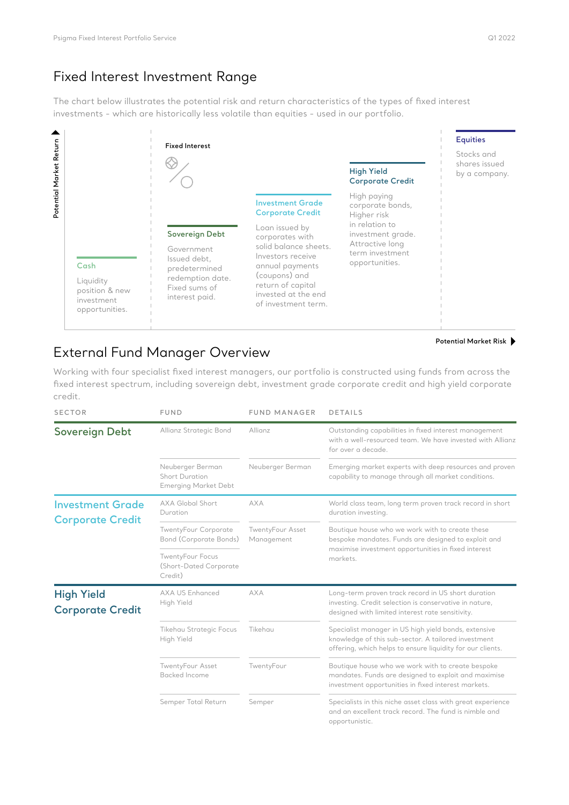# Fixed Interest Investment Range

The chart below illustrates the potential risk and return characteristics of the types of fixed interest investments - which are historically less volatile than equities - used in our portfolio.



# External Fund Manager Overview

Working with four specialist fixed interest managers, our portfolio is constructed using funds from across the fixed interest spectrum, including sovereign debt, investment grade corporate credit and high yield corporate credit.

| <b>SECTOR</b>                                      | <b>FUND</b>                                                              | <b>FUND MANAGER</b>            | <b>DETAILS</b>                                                                                                                                                            |
|----------------------------------------------------|--------------------------------------------------------------------------|--------------------------------|---------------------------------------------------------------------------------------------------------------------------------------------------------------------------|
| <b>Sovereign Debt</b>                              | Allianz Strategic Bond                                                   | Allianz                        | Outstanding capabilities in fixed interest management<br>with a well-resourced team. We have invested with Allianz<br>for over a decade.                                  |
|                                                    | Neuberger Berman<br><b>Short Duration</b><br><b>Emerging Market Debt</b> | Neuberger Berman               | Emerging market experts with deep resources and proven<br>capability to manage through all market conditions.                                                             |
| <b>Investment Grade</b><br><b>Corporate Credit</b> | <b>AXA Global Short</b><br>Duration                                      | <b>AXA</b>                     | World class team, long term proven track record in short<br>duration investing.                                                                                           |
|                                                    | <b>TwentyFour Corporate</b><br><b>Bond (Corporate Bonds)</b>             | TwentyFour Asset<br>Management | Boutique house who we work with to create these<br>bespoke mandates. Funds are designed to exploit and<br>maximise investment opportunities in fixed interest<br>markets. |
|                                                    | <b>TwentyFour Focus</b><br>(Short-Dated Corporate<br>Credit)             |                                |                                                                                                                                                                           |
| <b>High Yield</b><br><b>Corporate Credit</b>       | <b>AXA US Enhanced</b><br>High Yield                                     | <b>AXA</b>                     | Long-term proven track record in US short duration<br>investing. Credit selection is conservative in nature,<br>designed with limited interest rate sensitivity.          |
|                                                    | <b>Tikehau Strategic Focus</b><br>High Yield                             | Tikehau                        | Specialist manager in US high yield bonds, extensive<br>knowledge of this sub-sector. A tailored investment<br>offering, which helps to ensure liquidity for our clients. |
|                                                    | TwentyFour Asset<br>Backed Income                                        | TwentyFour                     | Boutique house who we work with to create bespoke<br>mandates. Funds are designed to exploit and maximise<br>investment opportunities in fixed interest markets.          |
|                                                    | Semper Total Return                                                      | Semper                         | Specialists in this niche asset class with great experience<br>and an excellent track record. The fund is nimble and<br>opportunistic.                                    |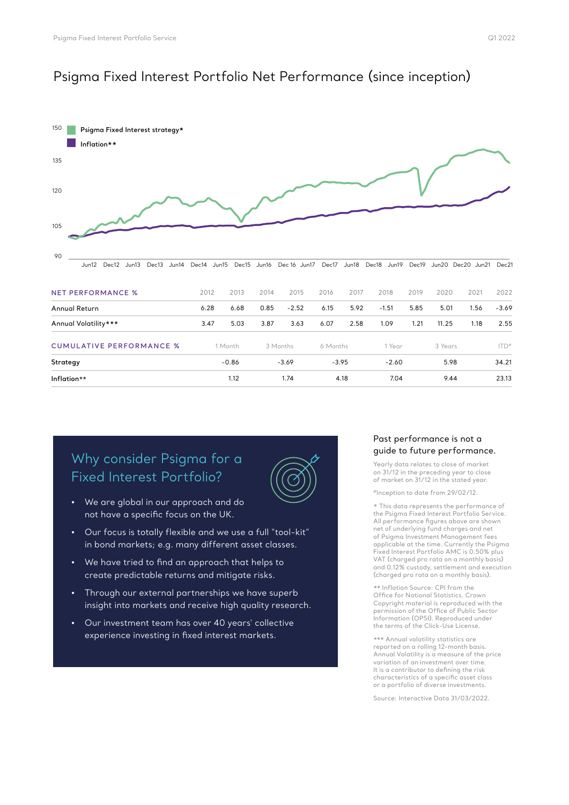### Psigma Fixed Interest Portfolio Net Performance (since inception)



# Why consider Psigma for a Fixed Interest Portfolio?



- We are global in our approach and do not have a specific focus on the UK.
- Our focus is totally flexible and we use a full "tool-kit" in bond markets; e.g. many different asset classes.
- We have tried to find an approach that helps to create predictable returns and mitigate risks.
- Through our external partnerships we have superb insight into markets and receive high quality research.
- Our investment team has over 40 years' collective experience investing in fixed interest markets.

#### Past performance is not a guide to future performance.

Yearly data relates to close of market on 31/12 in the preceding year to close of market on 31/12 in the stated year.

#Inception to date from 29/02/12.

\* This data represents the performance of the Psigma Fixed Interest Portfolio Service. All performance figures above are shown net of underlying fund charges and net of Psigma Investment Management fees applicable at the time. Currently the Psigma Fixed Interest Portfolio AMC is 0.50% plus VAT (charged pro rata on a monthly basis) and 0.12% custody, settlement and execution (charged pro rata on a monthly basis).

\*\* Inflation Source: CPI from the Office for National Statistics. Crown Copyright material is reproduced with the permission of the Office of Public Sector Information (OPSI). Reproduced under the terms of the Click-Use License.

\*\*\* Annual volatility statistics are reported on a rolling 12-month basis. Annual Volatility is a measure of the price variation of an investment over time. It is a contributor to defining the risk characteristics of a specific asset class or a portfolio of diverse investments.

Source: Interactive Data 31/03/2022.